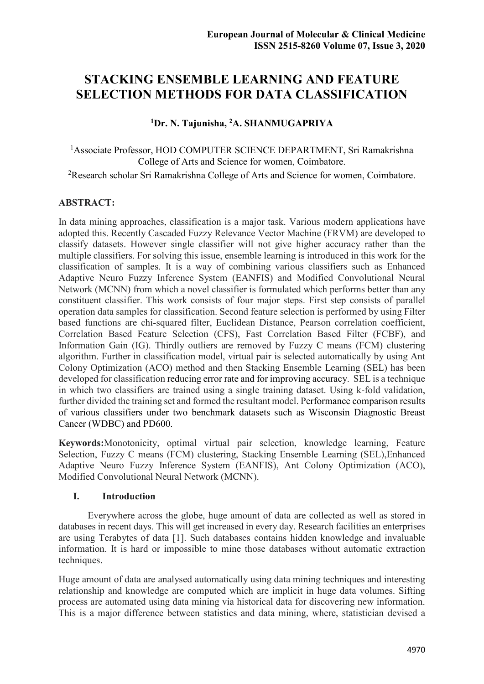# **STACKING ENSEMBLE LEARNING AND FEATURE SELECTION METHODS FOR DATA CLASSIFICATION**

**<sup>1</sup>Dr. N. Tajunisha, <sup>2</sup>A. SHANMUGAPRIYA** 

<sup>1</sup>Associate Professor, HOD COMPUTER SCIENCE DEPARTMENT, Sri Ramakrishna College of Arts and Science for women, Coimbatore.

<sup>2</sup>Research scholar Sri Ramakrishna College of Arts and Science for women, Coimbatore.

# **ABSTRACT:**

In data mining approaches, classification is a major task. Various modern applications have adopted this. Recently Cascaded Fuzzy Relevance Vector Machine (FRVM) are developed to classify datasets. However single classifier will not give higher accuracy rather than the multiple classifiers. For solving this issue, ensemble learning is introduced in this work for the classification of samples. It is a way of combining various classifiers such as Enhanced Adaptive Neuro Fuzzy Inference System (EANFIS) and Modified Convolutional Neural Network (MCNN) from which a novel classifier is formulated which performs better than any constituent classifier. This work consists of four major steps. First step consists of parallel operation data samples for classification. Second feature selection is performed by using Filter based functions are chi-squared filter, Euclidean Distance, Pearson correlation coefficient, Correlation Based Feature Selection (CFS), Fast Correlation Based Filter (FCBF), and Information Gain (IG). Thirdly outliers are removed by Fuzzy C means (FCM) clustering algorithm. Further in classification model, virtual pair is selected automatically by using Ant Colony Optimization (ACO) method and then Stacking Ensemble Learning (SEL) has been developed for classification reducing error rate and for improving accuracy. SEL is a technique in which two classifiers are trained using a single training dataset. Using k-fold validation, further divided the training set and formed the resultant model. Performance comparison results of various classifiers under two benchmark datasets such as Wisconsin Diagnostic Breast Cancer (WDBC) and PD600.

**Keywords:**Monotonicity, optimal virtual pair selection, knowledge learning, Feature Selection, Fuzzy C means (FCM) clustering, Stacking Ensemble Learning (SEL),Enhanced Adaptive Neuro Fuzzy Inference System (EANFIS), Ant Colony Optimization (ACO), Modified Convolutional Neural Network (MCNN).

# **I. Introduction**

 Everywhere across the globe, huge amount of data are collected as well as stored in databases in recent days. This will get increased in every day. Research facilities an enterprises are using Terabytes of data [1]. Such databases contains hidden knowledge and invaluable information. It is hard or impossible to mine those databases without automatic extraction techniques.

Huge amount of data are analysed automatically using data mining techniques and interesting relationship and knowledge are computed which are implicit in huge data volumes. Sifting process are automated using data mining via historical data for discovering new information. This is a major difference between statistics and data mining, where, statistician devised a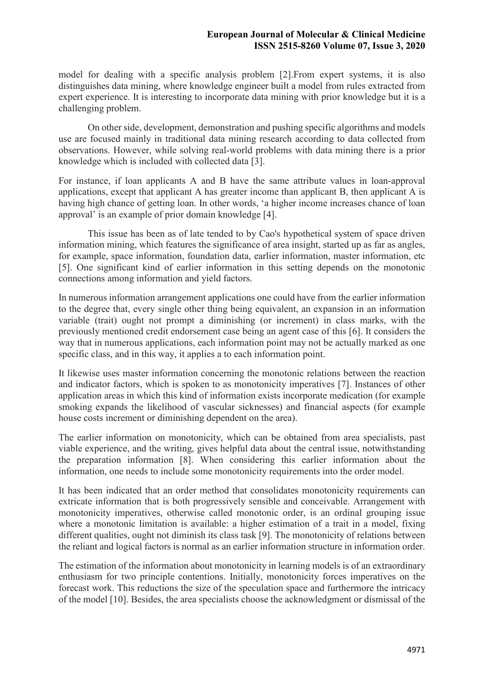model for dealing with a specific analysis problem [2].From expert systems, it is also distinguishes data mining, where knowledge engineer built a model from rules extracted from expert experience. It is interesting to incorporate data mining with prior knowledge but it is a challenging problem.

 On other side, development, demonstration and pushing specific algorithms and models use are focused mainly in traditional data mining research according to data collected from observations. However, while solving real-world problems with data mining there is a prior knowledge which is included with collected data [3].

For instance, if loan applicants A and B have the same attribute values in loan-approval applications, except that applicant A has greater income than applicant B, then applicant A is having high chance of getting loan. In other words, 'a higher income increases chance of loan approval' is an example of prior domain knowledge [4].

 This issue has been as of late tended to by Cao's hypothetical system of space driven information mining, which features the significance of area insight, started up as far as angles, for example, space information, foundation data, earlier information, master information, etc [5]. One significant kind of earlier information in this setting depends on the monotonic connections among information and yield factors.

In numerous information arrangement applications one could have from the earlier information to the degree that, every single other thing being equivalent, an expansion in an information variable (trait) ought not prompt a diminishing (or increment) in class marks, with the previously mentioned credit endorsement case being an agent case of this [6]. It considers the way that in numerous applications, each information point may not be actually marked as one specific class, and in this way, it applies a to each information point.

It likewise uses master information concerning the monotonic relations between the reaction and indicator factors, which is spoken to as monotonicity imperatives [7]. Instances of other application areas in which this kind of information exists incorporate medication (for example smoking expands the likelihood of vascular sicknesses) and financial aspects (for example house costs increment or diminishing dependent on the area).

The earlier information on monotonicity, which can be obtained from area specialists, past viable experience, and the writing, gives helpful data about the central issue, notwithstanding the preparation information [8]. When considering this earlier information about the information, one needs to include some monotonicity requirements into the order model.

It has been indicated that an order method that consolidates monotonicity requirements can extricate information that is both progressively sensible and conceivable. Arrangement with monotonicity imperatives, otherwise called monotonic order, is an ordinal grouping issue where a monotonic limitation is available: a higher estimation of a trait in a model, fixing different qualities, ought not diminish its class task [9]. The monotonicity of relations between the reliant and logical factors is normal as an earlier information structure in information order.

The estimation of the information about monotonicity in learning models is of an extraordinary enthusiasm for two principle contentions. Initially, monotonicity forces imperatives on the forecast work. This reductions the size of the speculation space and furthermore the intricacy of the model [10]. Besides, the area specialists choose the acknowledgment or dismissal of the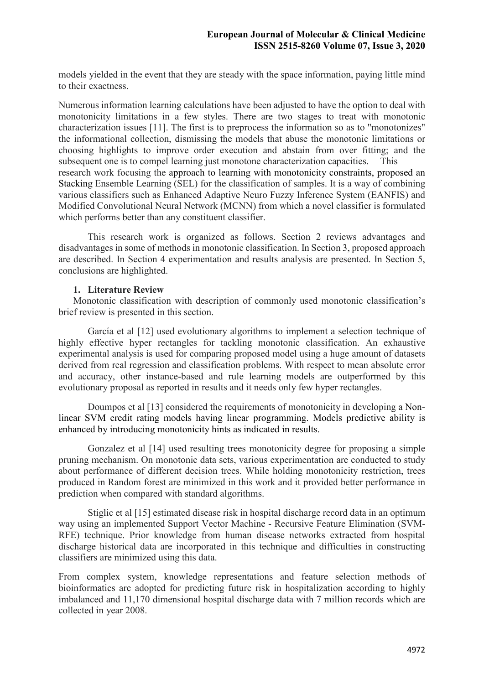models yielded in the event that they are steady with the space information, paying little mind to their exactness.

Numerous information learning calculations have been adjusted to have the option to deal with monotonicity limitations in a few styles. There are two stages to treat with monotonic characterization issues [11]. The first is to preprocess the information so as to "monotonizes" the informational collection, dismissing the models that abuse the monotonic limitations or choosing highlights to improve order execution and abstain from over fitting; and the subsequent one is to compel learning just monotone characterization capacities. This research work focusing the approach to learning with monotonicity constraints, proposed an Stacking Ensemble Learning (SEL) for the classification of samples. It is a way of combining various classifiers such as Enhanced Adaptive Neuro Fuzzy Inference System (EANFIS) and Modified Convolutional Neural Network (MCNN) from which a novel classifier is formulated which performs better than any constituent classifier.

 This research work is organized as follows. Section 2 reviews advantages and disadvantages in some of methods in monotonic classification. In Section 3, proposed approach are described. In Section 4 experimentation and results analysis are presented. In Section 5, conclusions are highlighted.

## **1. Literature Review**

Monotonic classification with description of commonly used monotonic classification's brief review is presented in this section.

 García et al [12] used evolutionary algorithms to implement a selection technique of highly effective hyper rectangles for tackling monotonic classification. An exhaustive experimental analysis is used for comparing proposed model using a huge amount of datasets derived from real regression and classification problems. With respect to mean absolute error and accuracy, other instance-based and rule learning models are outperformed by this evolutionary proposal as reported in results and it needs only few hyper rectangles.

 Doumpos et al [13] considered the requirements of monotonicity in developing a Nonlinear SVM credit rating models having linear programming. Models predictive ability is enhanced by introducing monotonicity hints as indicated in results.

 Gonzalez et al [14] used resulting trees monotonicity degree for proposing a simple pruning mechanism. On monotonic data sets, various experimentation are conducted to study about performance of different decision trees. While holding monotonicity restriction, trees produced in Random forest are minimized in this work and it provided better performance in prediction when compared with standard algorithms.

 Stiglic et al [15] estimated disease risk in hospital discharge record data in an optimum way using an implemented Support Vector Machine - Recursive Feature Elimination (SVM-RFE) technique. Prior knowledge from human disease networks extracted from hospital discharge historical data are incorporated in this technique and difficulties in constructing classifiers are minimized using this data.

From complex system, knowledge representations and feature selection methods of bioinformatics are adopted for predicting future risk in hospitalization according to highly imbalanced and 11,170 dimensional hospital discharge data with 7 million records which are collected in year 2008.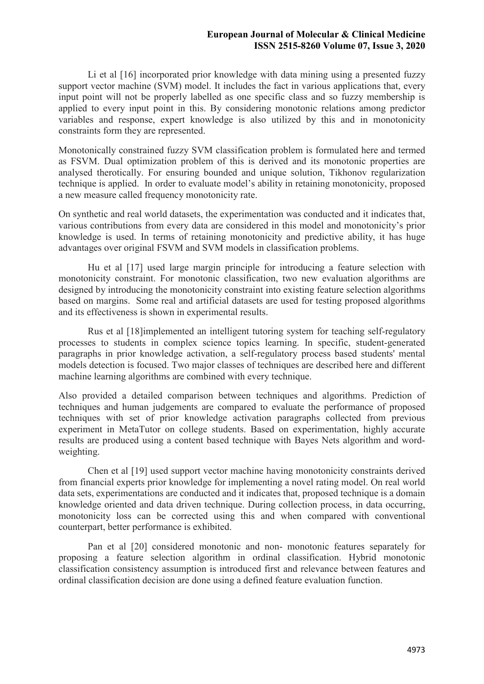Li et al [16] incorporated prior knowledge with data mining using a presented fuzzy support vector machine (SVM) model. It includes the fact in various applications that, every input point will not be properly labelled as one specific class and so fuzzy membership is applied to every input point in this. By considering monotonic relations among predictor variables and response, expert knowledge is also utilized by this and in monotonicity constraints form they are represented.

Monotonically constrained fuzzy SVM classification problem is formulated here and termed as FSVM. Dual optimization problem of this is derived and its monotonic properties are analysed therotically. For ensuring bounded and unique solution, Tikhonov regularization technique is applied. In order to evaluate model's ability in retaining monotonicity, proposed a new measure called frequency monotonicity rate.

On synthetic and real world datasets, the experimentation was conducted and it indicates that, various contributions from every data are considered in this model and monotonicity's prior knowledge is used. In terms of retaining monotonicity and predictive ability, it has huge advantages over original FSVM and SVM models in classification problems.

 Hu et al [17] used large margin principle for introducing a feature selection with monotonicity constraint. For monotonic classification, two new evaluation algorithms are designed by introducing the monotonicity constraint into existing feature selection algorithms based on margins. Some real and artificial datasets are used for testing proposed algorithms and its effectiveness is shown in experimental results.

 Rus et al [18]implemented an intelligent tutoring system for teaching self-regulatory processes to students in complex science topics learning. In specific, student-generated paragraphs in prior knowledge activation, a self-regulatory process based students' mental models detection is focused. Two major classes of techniques are described here and different machine learning algorithms are combined with every technique.

Also provided a detailed comparison between techniques and algorithms. Prediction of techniques and human judgements are compared to evaluate the performance of proposed techniques with set of prior knowledge activation paragraphs collected from previous experiment in MetaTutor on college students. Based on experimentation, highly accurate results are produced using a content based technique with Bayes Nets algorithm and wordweighting.

 Chen et al [19] used support vector machine having monotonicity constraints derived from financial experts prior knowledge for implementing a novel rating model. On real world data sets, experimentations are conducted and it indicates that, proposed technique is a domain knowledge oriented and data driven technique. During collection process, in data occurring, monotonicity loss can be corrected using this and when compared with conventional counterpart, better performance is exhibited.

 Pan et al [20] considered monotonic and non- monotonic features separately for proposing a feature selection algorithm in ordinal classification. Hybrid monotonic classification consistency assumption is introduced first and relevance between features and ordinal classification decision are done using a defined feature evaluation function.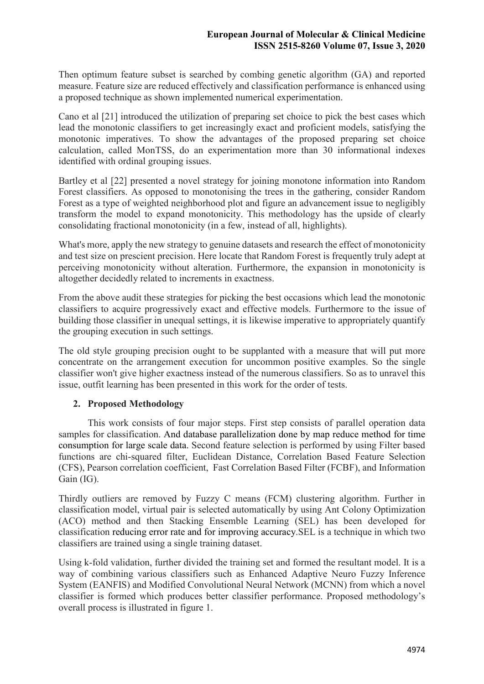Then optimum feature subset is searched by combing genetic algorithm (GA) and reported measure. Feature size are reduced effectively and classification performance is enhanced using a proposed technique as shown implemented numerical experimentation.

Cano et al [21] introduced the utilization of preparing set choice to pick the best cases which lead the monotonic classifiers to get increasingly exact and proficient models, satisfying the monotonic imperatives. To show the advantages of the proposed preparing set choice calculation, called MonTSS, do an experimentation more than 30 informational indexes identified with ordinal grouping issues.

Bartley et al [22] presented a novel strategy for joining monotone information into Random Forest classifiers. As opposed to monotonising the trees in the gathering, consider Random Forest as a type of weighted neighborhood plot and figure an advancement issue to negligibly transform the model to expand monotonicity. This methodology has the upside of clearly consolidating fractional monotonicity (in a few, instead of all, highlights).

What's more, apply the new strategy to genuine datasets and research the effect of monotonicity and test size on prescient precision. Here locate that Random Forest is frequently truly adept at perceiving monotonicity without alteration. Furthermore, the expansion in monotonicity is altogether decidedly related to increments in exactness.

From the above audit these strategies for picking the best occasions which lead the monotonic classifiers to acquire progressively exact and effective models. Furthermore to the issue of building those classifier in unequal settings, it is likewise imperative to appropriately quantify the grouping execution in such settings.

The old style grouping precision ought to be supplanted with a measure that will put more concentrate on the arrangement execution for uncommon positive examples. So the single classifier won't give higher exactness instead of the numerous classifiers. So as to unravel this issue, outfit learning has been presented in this work for the order of tests.

# **2. Proposed Methodology**

 This work consists of four major steps. First step consists of parallel operation data samples for classification. And database parallelization done by map reduce method for time consumption for large scale data. Second feature selection is performed by using Filter based functions are chi-squared filter, Euclidean Distance, Correlation Based Feature Selection (CFS), Pearson correlation coefficient, Fast Correlation Based Filter (FCBF), and Information Gain (IG).

Thirdly outliers are removed by Fuzzy C means (FCM) clustering algorithm. Further in classification model, virtual pair is selected automatically by using Ant Colony Optimization (ACO) method and then Stacking Ensemble Learning (SEL) has been developed for classification reducing error rate and for improving accuracy.SEL is a technique in which two classifiers are trained using a single training dataset.

Using k-fold validation, further divided the training set and formed the resultant model. It is a way of combining various classifiers such as Enhanced Adaptive Neuro Fuzzy Inference System (EANFIS) and Modified Convolutional Neural Network (MCNN) from which a novel classifier is formed which produces better classifier performance. Proposed methodology's overall process is illustrated in figure 1.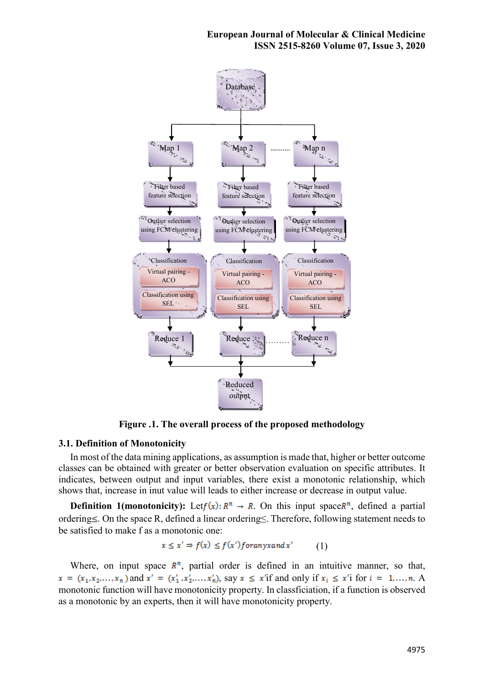

**Figure .1. The overall process of the proposed methodology**

# **3.1. Definition of Monotonicity**

In most of the data mining applications, as assumption is made that, higher or better outcome classes can be obtained with greater or better observation evaluation on specific attributes. It indicates, between output and input variables, there exist a monotonic relationship, which shows that, increase in inut value will leads to either increase or decrease in output value.

**Definition 1(monotonicity):** Let  $f(x)$ :  $R^n \to R$ . On this input space  $R^n$ , defined a partial ordering≤. On the space R, defined a linear ordering≤. Therefore, following statement needs to be satisfied to make f as a monotonic one:

$$
x \le x' \Rightarrow f(x) \le f(x') for any x and x' \tag{1}
$$

Where, on input space  $R<sup>n</sup>$ , partial order is defined in an intuitive manner, so that,  $x = (x_1, x_2,..., x_n)$  and  $x' = (x'_1, x'_2,..., x'_n)$ , say  $x \le x'$  if and only if  $x_i \le x'$  for  $i = 1,..., n$ . A monotonic function will have monotonicity property. In classficiation, if a function is observed as a monotonic by an experts, then it will have monotonicity property.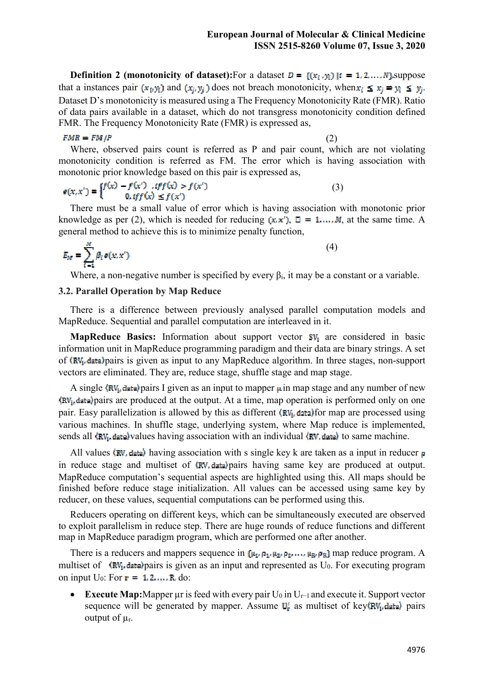**Definition 2 (monotonicity of dataset):**For a dataset  $D = \{(x_i, y_i) | i = 1, 2, ..., N\}$  suppose that a instances pair  $(x_i, y_i)$  and  $(x_i, y_i)$  does not breach monotonicity, when  $x_i \leq x_i \Rightarrow y_i \leq y_i$ . Dataset D's monotonicity is measured using a The Frequency Monotonicity Rate (FMR). Ratio of data pairs available in a dataset, which do not transgress monotonicity condition defined FMR. The Frequency Monotonicity Rate (FMR) is expressed as,

#### $FMR = FM/P$

(2)

(4)

Where, observed pairs count is referred as P and pair count, which are not violating monotonicity condition is referred as FM. The error which is having association with

# monotonic prior knowledge based on this pair is expressed as,<br>  $\mathbf{e}(x, x') = \begin{cases} f(x) - f(x') & \text{if } f(x) > f(x') \\ 0 & \text{if } f(x) \le f(x') \end{cases}$ (3)

There must be a small value of error which is having association with monotonic prior knowledge as per (2), which is needed for reducing  $(x, x')$ ,  $\Box = 1,..., M$ , at the same time. A general method to achieve this is to minimize penalty function,

$$
E_M = \sum_{i=1}^M \beta_i e(x, x')
$$

Where, a non-negative number is specified by every  $\beta_i$ , it may be a constant or a variable.

# **3.2. Parallel Operation by Map Reduce**

There is a difference between previously analysed parallel computation models and MapReduce. Sequential and parallel computation are interleaved in it.

**MapReduce Basics:** Information about support vector  $SV_i$  are considered in basic information unit in MapReduce programming paradigm and their data are binary strings. A set of  $\langle RV_i$ , data) pairs is given as input to any MapReduce algorithm. In three stages, non-support vectors are eliminated. They are, reduce stage, shuffle stage and map stage.

A single  $\langle \text{RV}_i \text{data} \rangle$  pairs I given as an input to mapper  $\mu$  in map stage and any number of new  $\langle RV_i, \text{data} \rangle$  pairs are produced at the output. At a time, map operation is performed only on one pair. Easy parallelization is allowed by this as different  $(RV<sub>i</sub>, data)$  for map are processed using various machines. In shuffle stage, underlying system, where Map reduce is implemented, sends all  $\langle RV_i, \text{data}\rangle$  values having association with an individual  $\langle RV_i, \text{data}\rangle$  to same machine.

All values  $\langle \text{RV}, \text{data} \rangle$  having association with s single key k are taken as a input in reducer  $\rho$ in reduce stage and multiset of  $\langle \text{RV}, \text{data} \rangle$  pairs having same key are produced at output. MapReduce computation's sequential aspects are highlighted using this. All maps should be finished before reduce stage initialization. All values can be accessed using same key by reducer, on these values, sequential computations can be performed using this.

Reducers operating on different keys, which can be simultaneously executed are observed to exploit parallelism in reduce step. There are huge rounds of reduce functions and different map in MapReduce paradigm program, which are performed one after another.

There is a reducers and mappers sequence in  $\{\mu_1, \rho_1, \mu_2, \rho_2, \dots, \mu_R, \rho_R\}$  map reduce program. A multiset of  $\langle RV_i, \text{data} \rangle$  pairs is given as an input and represented as U<sub>0</sub>. For executing program on input  $U_0$ : For  $\mathbf{r} = 1, 2, ..., R$ , do:

**Execute Map:**Mapper µr is feed with every pair  $U_0$  in  $U_{r-1}$  and execute it. Support vector sequence will be generated by mapper. Assume  $U_r$  as multiset of key (RV<sub>i</sub>, data) pairs output of  $\mu_r$ .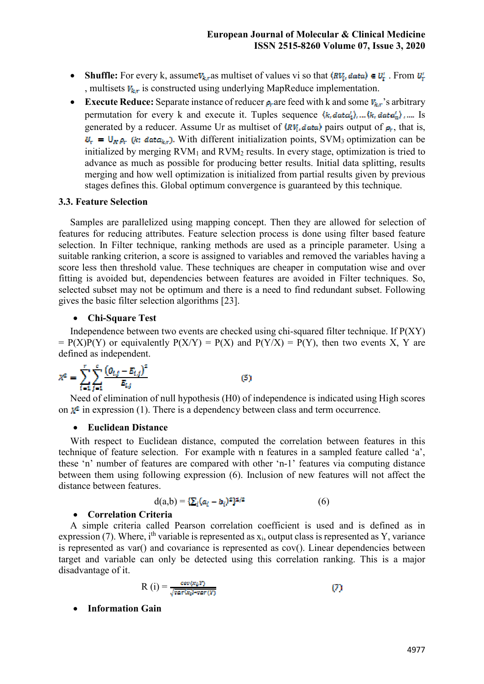- **Shuffle:** For every k, assume  $V_{k,r}$  as multiset of values vi so that  $\langle R V_i, data \rangle \in U_r^r$ . From  $U_r^r$ , multisets  $V_{k,r}$  is constructed using underlying MapReduce implementation.
- **Execute Reduce:** Separate instance of reducer  $\rho_r$  are feed with k and some  $V_{kr}$ 's arbitrary permutation for every k and execute it. Tuples sequence  $(k, data_1), ..., (k, data_n)$ , .... Is generated by a reducer. Assume Ur as multiset of  $\langle RV_i, data \rangle$  pairs output of  $\rho_r$ , that is,  $U_r = U_{R} \rho_r$  (k; data<sub>ks</sub>). With different initialization points, SVM<sub>3</sub> optimization can be initialized by merging  $RVM<sub>1</sub>$  and  $RVM<sub>2</sub>$  results. In every stage, optimization is tried to advance as much as possible for producing better results. Initial data splitting, results merging and how well optimization is initialized from partial results given by previous stages defines this. Global optimum convergence is guaranteed by this technique.

#### **3.3. Feature Selection**

Samples are parallelized using mapping concept. Then they are allowed for selection of features for reducing attributes. Feature selection process is done using filter based feature selection. In Filter technique, ranking methods are used as a principle parameter. Using a suitable ranking criterion, a score is assigned to variables and removed the variables having a score less then threshold value. These techniques are cheaper in computation wise and over fitting is avoided but, dependencies between features are avoided in Filter techniques. So, selected subset may not be optimum and there is a need to find redundant subset. Following gives the basic filter selection algorithms [23].

#### **Chi-Square Test**

Independence between two events are checked using chi-squared filter technique. If P(XY)  $= P(X)P(Y)$  or equivalently  $P(X/Y) = P(X)$  and  $P(Y/X) = P(Y)$ , then two events X, Y are defined as independent.

$$
X^{2} = \sum_{i=1}^{r} \sum_{j=1}^{c} \frac{(O_{i,j} - E_{i,j})^{2}}{E_{i,j}}
$$
(5)

Need of elimination of null hypothesis (H0) of independence is indicated using High scores on  $\mathbf{x}^2$  in expression (1). There is a dependency between class and term occurrence.

#### **Euclidean Distance**

With respect to Euclidean distance, computed the correlation between features in this technique of feature selection. For example with n features in a sampled feature called 'a', these 'n' number of features are compared with other 'n-1' features via computing distance between them using following expression (6). Inclusion of new features will not affect the distance between features.

$$
d(a,b) = {\sum_i (a_i - b_i)^2}^{1/2}
$$
 (6)

# **Correlation Criteria**

A simple criteria called Pearson correlation coefficient is used and is defined as in expression (7). Where, i<sup>th</sup> variable is represented as  $x_i$ , output class is represented as Y, variance is represented as var() and covariance is represented as cov(). Linear dependencies between target and variable can only be detected using this correlation ranking. This is a major disadvantage of it.

$$
R(i) = \frac{\text{cov}(x_i, y)}{\sqrt{\text{var}(x_i) \cdot \text{var}(y)}}
$$
(7)

**Information Gain**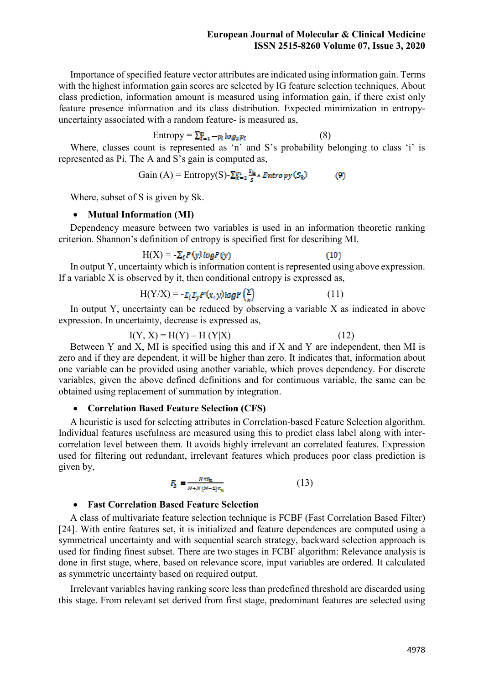Importance of specified feature vector attributes are indicated using information gain. Terms with the highest information gain scores are selected by IG feature selection techniques. About class prediction, information amount is measured using information gain, if there exist only feature presence information and its class distribution. Expected minimization in entropyuncertainty associated with a random feature- is measured as,

Entropy = 
$$
\sum_{i=1}^{n} -p_i \log_2 p_i
$$
 (8)

Where, classes count is represented as 'n' and S's probability belonging to class 'i' is represented as Pi. The A and S's gain is computed as,

Gain (A) = Entropy(S)-
$$
\sum_{k=1}^{m} \frac{S_k}{s}
$$
 \* Entropy(S<sub>k</sub>) (9)

Where, subset of S is given by Sk.

## • Mutual Information (MI)

Dependency measure between two variables is used in an information theoretic ranking criterion. Shannon's definition of entropy is specified first for describing MI.

$$
H(X) = -\sum_{i} P(y) \log P(y)
$$
 (10)

In output Y, uncertainty which is information content is represented using above expression. If a variable  $X$  is observed by it, then conditional entropy is expressed as,

$$
H(Y/X) = -\mathcal{E}_t \mathcal{E}_y P(x, y) \log P\left(\frac{y}{y}\right) \tag{11}
$$

In output Y, uncertainty can be reduced by observing a variable X as indicated in above expression. In uncertainty, decrease is expressed as,

$$
I(Y, X) = H(Y) - H(Y|X)
$$
 (12)

Between Y and X, MI is specified using this and if X and Y are independent, then MI is zero and if they are dependent, it will be higher than zero. It indicates that, information about one variable can be provided using another variable, which proves dependency. For discrete variables, given the above defined definitions and for continuous variable, the same can be obtained using replacement of summation by integration.

## **Correlation Based Feature Selection (CFS)**

A heuristic is used for selecting attributes in Correlation-based Feature Selection algorithm. Individual features usefulness are measured using this to predict class label along with intercorrelation level between them. It avoids highly irrelevant an correlated features. Expression used for filtering out redundant, irrelevant features which produces poor class prediction is given by,

$$
F_{s} = \frac{N + r_{n}}{N + N(N - 1)r_{n}}
$$
(13)

# **Fast Correlation Based Feature Selection**

A class of multivariate feature selection technique is FCBF (Fast Correlation Based Filter) [24]. With entire features set, it is initialized and feature dependences are computed using a symmetrical uncertainty and with sequential search strategy, backward selection approach is used for finding finest subset. There are two stages in FCBF algorithm: Relevance analysis is done in first stage, where, based on relevance score, input variables are ordered. It calculated as symmetric uncertainty based on required output.

Irrelevant variables having ranking score less than predefined threshold are discarded using this stage. From relevant set derived from first stage, predominant features are selected using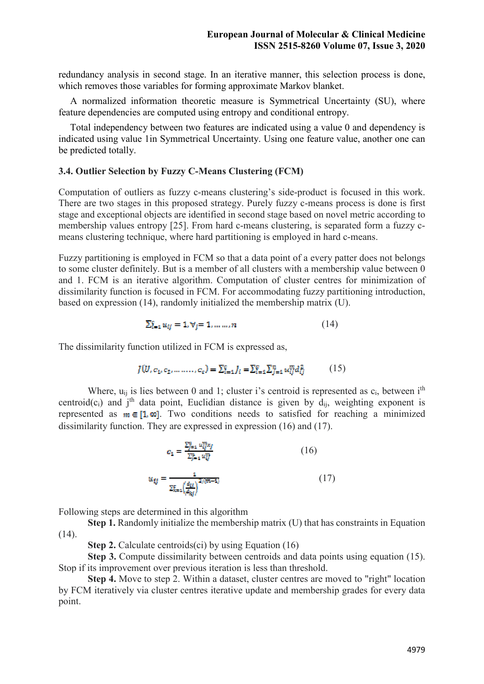redundancy analysis in second stage. In an iterative manner, this selection process is done, which removes those variables for forming approximate Markov blanket.

A normalized information theoretic measure is Symmetrical Uncertainty (SU), where feature dependencies are computed using entropy and conditional entropy.

Total independency between two features are indicated using a value 0 and dependency is indicated using value 1in Symmetrical Uncertainty. Using one feature value, another one can be predicted totally.

#### **3.4. Outlier Selection by Fuzzy C-Means Clustering (FCM)**

Computation of outliers as fuzzy c-means clustering's side-product is focused in this work. There are two stages in this proposed strategy. Purely fuzzy c-means process is done is first stage and exceptional objects are identified in second stage based on novel metric according to membership values entropy [25]. From hard c-means clustering, is separated form a fuzzy cmeans clustering technique, where hard partitioning is employed in hard c-means.

Fuzzy partitioning is employed in FCM so that a data point of a every patter does not belongs to some cluster definitely. But is a member of all clusters with a membership value between 0 and 1. FCM is an iterative algorithm. Computation of cluster centres for minimization of dissimilarity function is focused in FCM. For accommodating fuzzy partitioning introduction, based on expression (14), randomly initialized the membership matrix (U).

$$
\sum_{i=1}^{c} u_{ij} = 1, \forall j = 1, \dots \dots, n
$$
\n(14)

The dissimilarity function utilized in FCM is expressed as,

$$
J(U, c_1, c_2, \dots, c_c) = \sum_{i=1}^c J_i = \sum_{i=1}^c \sum_{j=1}^n u_{ij}^m d_{ij}^2
$$
 (15)

Where,  $u_{ii}$  is lies between 0 and 1; cluster i's centroid is represented as  $c_i$ , between i<sup>th</sup> centroid(c<sub>i</sub>) and j<sup>th</sup> data point, Euclidian distance is given by  $d_{ii}$ , weighting exponent is represented as  $m \in [1, \infty]$ . Two conditions needs to satisfied for reaching a minimized dissimilarity function. They are expressed in expression (16) and (17).

$$
c_{1} = \frac{\sum_{j=1}^{n} w_{ij}^{m} \kappa_{j}}{\sum_{j=1}^{n} w_{ij}^{m}}
$$
(16)  

$$
u_{ij} = \frac{1}{\sum_{k=1}^{n} \left(\frac{d_{ij}}{d_{kj}}\right)^{2/(m-1)}}
$$
(17)

Following steps are determined in this algorithm

**Step 1.** Randomly initialize the membership matrix (U) that has constraints in Equation  $(14)$ .

**Step 2.** Calculate centroids(ci) by using Equation (16)

**Step 3.** Compute dissimilarity between centroids and data points using equation (15). Stop if its improvement over previous iteration is less than threshold.

 **Step 4.** Move to step 2. Within a dataset, cluster centres are moved to "right" location by FCM iteratively via cluster centres iterative update and membership grades for every data point.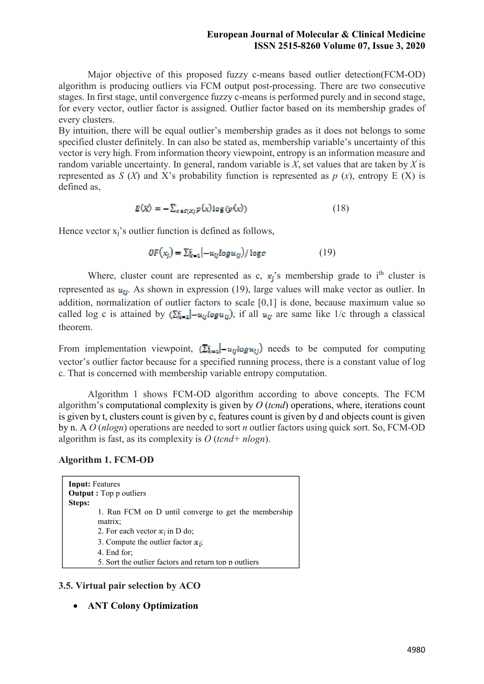Major objective of this proposed fuzzy c-means based outlier detection(FCM-OD) algorithm is producing outliers via FCM output post-processing. There are two consecutive stages. In first stage, until convergence fuzzy c-means is performed purely and in second stage, for every vector, outlier factor is assigned. Outlier factor based on its membership grades of every clusters.

By intuition, there will be equal outlier's membership grades as it does not belongs to some specified cluster definitely. In can also be stated as, membership variable's uncertainty of this vector is very high. From information theory viewpoint, entropy is an information measure and random variable uncertainty. In general, random variable is *X*, set values that are taken by *X* is represented as  $S(X)$  and X's probability function is represented as  $p(x)$ , entropy E (X) is defined as,

$$
E(X) = -\sum_{x \in S(X)} p(x) \log (p(x)) \tag{18}
$$

Hence vector  $x_i$ 's outlier function is defined as follows,

 $OF(x_i) = \sum_{k=1}^{g} |-u_{ii}logu_{ii})/logc$  (19)

Where, cluster count are represented as c,  $\mathbf{x}_i$ 's membership grade to i<sup>th</sup> cluster is represented as  $u_{ii}$ . As shown in expression (19), large values will make vector as outlier. In addition, normalization of outlier factors to scale [0,1] is done, because maximum value so called log c is attained by  $(\sum_{k=1}^g |-u_{ij} \log u_{ij})$ , if all  $u_{ij}$  are same like 1/c through a classical theorem.

From implementation viewpoint,  $\left[\sum_{k=1}^{g} \right] - u_{ij} \log u_{ij}$  needs to be computed for computing vector's outlier factor because for a specified running process, there is a constant value of log c. That is concerned with membership variable entropy computation.

 Algorithm 1 shows FCM-OD algorithm according to above concepts. The FCM algorithm's computational complexity is given by *O* (*tcnd*) operations, where, iterations count is given by t, clusters count is given by c, features count is given by d and objects count is given by n. A *O* (*nlogn*) operations are needed to sort *n* outlier factors using quick sort. So, FCM-OD algorithm is fast, as its complexity is *O* (*tcnd+ nlogn*).

# **Algorithm 1. FCM-OD**

| <b>Input:</b> Features<br>Steps: | <b>Output</b> : Top p outliers                                       |
|----------------------------------|----------------------------------------------------------------------|
|                                  | 1. Run FCM on D until converge to get the membership<br>matrix:      |
|                                  | 2. For each vector $\mathbf{x}_i$ in D do;                           |
|                                  | 3. Compute the outlier factor $x_i$ ;                                |
|                                  | 4. End for:<br>5. Sort the outlier factors and return top p outliers |

# **3.5. Virtual pair selection by ACO**

**ANT Colony Optimization**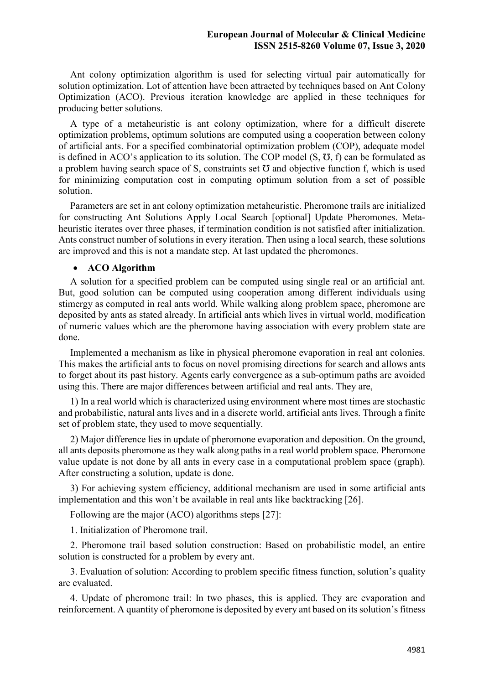Ant colony optimization algorithm is used for selecting virtual pair automatically for solution optimization. Lot of attention have been attracted by techniques based on Ant Colony Optimization (ACO). Previous iteration knowledge are applied in these techniques for producing better solutions.

A type of a metaheuristic is ant colony optimization, where for a difficult discrete optimization problems, optimum solutions are computed using a cooperation between colony of artificial ants. For a specified combinatorial optimization problem (COP), adequate model is defined in ACO's application to its solution. The COP model  $(S, \bar{O}, f)$  can be formulated as a problem having search space of S, constraints set  $\sigma$  and objective function f, which is used for minimizing computation cost in computing optimum solution from a set of possible solution.

Parameters are set in ant colony optimization metaheuristic. Pheromone trails are initialized for constructing Ant Solutions Apply Local Search [optional] Update Pheromones. Metaheuristic iterates over three phases, if termination condition is not satisfied after initialization. Ants construct number of solutions in every iteration. Then using a local search, these solutions are improved and this is not a mandate step. At last updated the pheromones.

#### **ACO Algorithm**

A solution for a specified problem can be computed using single real or an artificial ant. But, good solution can be computed using cooperation among different individuals using stimergy as computed in real ants world. While walking along problem space, pheromone are deposited by ants as stated already. In artificial ants which lives in virtual world, modification of numeric values which are the pheromone having association with every problem state are done.

Implemented a mechanism as like in physical pheromone evaporation in real ant colonies. This makes the artificial ants to focus on novel promising directions for search and allows ants to forget about its past history. Agents early convergence as a sub-optimum paths are avoided using this. There are major differences between artificial and real ants. They are,

1) In a real world which is characterized using environment where most times are stochastic and probabilistic, natural ants lives and in a discrete world, artificial ants lives. Through a finite set of problem state, they used to move sequentially.

2) Major difference lies in update of pheromone evaporation and deposition. On the ground, all ants deposits pheromone as they walk along paths in a real world problem space. Pheromone value update is not done by all ants in every case in a computational problem space (graph). After constructing a solution, update is done.

3) For achieving system efficiency, additional mechanism are used in some artificial ants implementation and this won't be available in real ants like backtracking [26].

Following are the major (ACO) algorithms steps [27]:

1. Initialization of Pheromone trail.

2. Pheromone trail based solution construction: Based on probabilistic model, an entire solution is constructed for a problem by every ant.

3. Evaluation of solution: According to problem specific fitness function, solution's quality are evaluated.

4. Update of pheromone trail: In two phases, this is applied. They are evaporation and reinforcement. A quantity of pheromone is deposited by every ant based on its solution's fitness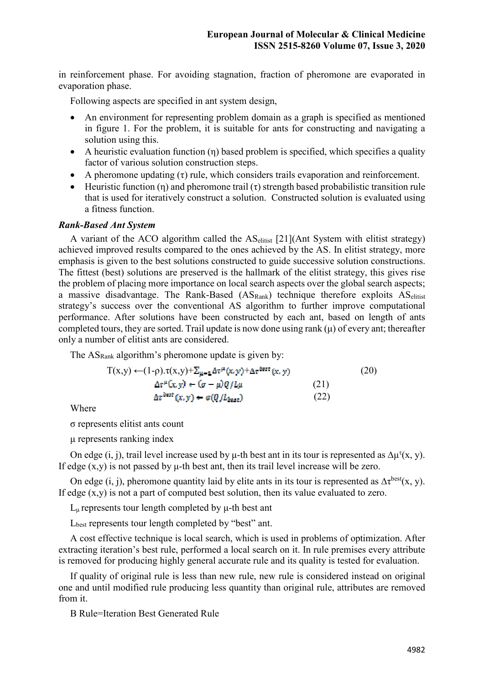in reinforcement phase. For avoiding stagnation, fraction of pheromone are evaporated in evaporation phase.

Following aspects are specified in ant system design,

- An environment for representing problem domain as a graph is specified as mentioned in figure 1. For the problem, it is suitable for ants for constructing and navigating a solution using this.
- A heuristic evaluation function  $(\eta)$  based problem is specified, which specifies a quality factor of various solution construction steps.
- A pheromone updating  $(\tau)$  rule, which considers trails evaporation and reinforcement.
- Heuristic function (η) and pheromone trail (τ) strength based probabilistic transition rule that is used for iteratively construct a solution. Constructed solution is evaluated using a fitness function.

#### *Rank-Based Ant System*

A variant of the ACO algorithm called the AS<sub>elitist</sub> [21](Ant System with elitist strategy) achieved improved results compared to the ones achieved by the AS. In elitist strategy, more emphasis is given to the best solutions constructed to guide successive solution constructions. The fittest (best) solutions are preserved is the hallmark of the elitist strategy, this gives rise the problem of placing more importance on local search aspects over the global search aspects; a massive disadvantage. The Rank-Based  $(AS_{Rank})$  technique therefore exploits  $AS_{elitist}$ strategy's success over the conventional AS algorithm to further improve computational performance. After solutions have been constructed by each ant, based on length of ants completed tours, they are sorted. Trail update is now done using rank  $(\mu)$  of every ant; thereafter only a number of elitist ants are considered.

The AS<sub>Rank</sub> algorithm's pheromone update is given by:

$$
T(x,y) \leftarrow (1-\rho) \cdot \tau(x,y) + \sum_{\mu=1}^{\infty} \Delta \tau^{\mu}(x,y) + \Delta \tau^{\text{best}}(x,y)
$$
\n
$$
\Delta \tau^{\mu}(x,y) \leftarrow (\sigma - \mu) Q / L\mu
$$
\n
$$
\Delta \tau^{\text{best}}(x,y) \leftarrow \sigma(Q / L_{\text{best}})
$$
\n(21)\n(22)

Where

σ represents elitist ants count

μ represents ranking index

On edge (i, j), trail level increase used by  $\mu$ -th best ant in its tour is represented as  $\Delta \mu^{\tau}(x, y)$ . If edge  $(x,y)$  is not passed by  $\mu$ -th best ant, then its trail level increase will be zero.

On edge (i, j), pheromone quantity laid by elite ants in its tour is represented as  $\Delta \tau^{best}(x, y)$ . If edge  $(x,y)$  is not a part of computed best solution, then its value evaluated to zero.

 $L_{\mu}$  represents tour length completed by  $\mu$ -th best ant

Lbest represents tour length completed by "best" ant.

A cost effective technique is local search, which is used in problems of optimization. After extracting iteration's best rule, performed a local search on it. In rule premises every attribute is removed for producing highly general accurate rule and its quality is tested for evaluation.

If quality of original rule is less than new rule, new rule is considered instead on original one and until modified rule producing less quantity than original rule, attributes are removed from it.

B Rule=Iteration Best Generated Rule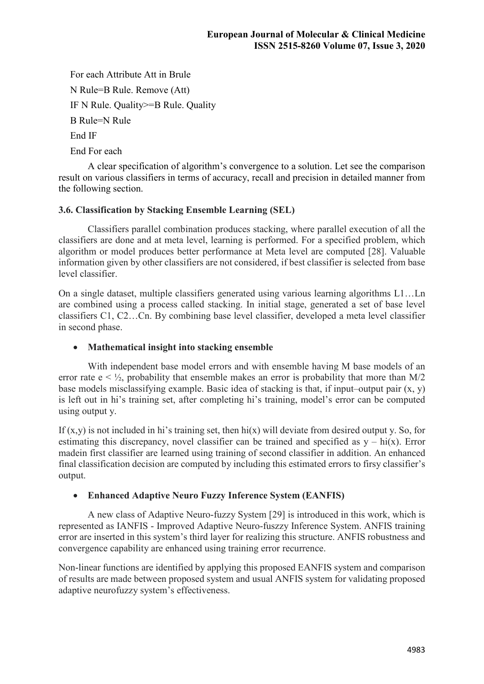For each Attribute Att in Brule N Rule=B Rule. Remove (Att) IF N Rule. Quality>=B Rule. Quality B Rule=N Rule End IF End For each

 A clear specification of algorithm's convergence to a solution. Let see the comparison result on various classifiers in terms of accuracy, recall and precision in detailed manner from the following section.

# **3.6. Classification by Stacking Ensemble Learning (SEL)**

 Classifiers parallel combination produces stacking, where parallel execution of all the classifiers are done and at meta level, learning is performed. For a specified problem, which algorithm or model produces better performance at Meta level are computed [28]. Valuable information given by other classifiers are not considered, if best classifier is selected from base level classifier.

On a single dataset, multiple classifiers generated using various learning algorithms L1…Ln are combined using a process called stacking. In initial stage, generated a set of base level classifiers C1, C2…Cn. By combining base level classifier, developed a meta level classifier in second phase.

# **Mathematical insight into stacking ensemble**

 With independent base model errors and with ensemble having M base models of an error rate  $e < \frac{1}{2}$ , probability that ensemble makes an error is probability that more than M/2 base models misclassifying example. Basic idea of stacking is that, if input–output pair (x, y) is left out in hi's training set, after completing hi's training, model's error can be computed using output y.

If  $(x,y)$  is not included in hi's training set, then hi(x) will deviate from desired output y. So, for estimating this discrepancy, novel classifier can be trained and specified as  $y - hi(x)$ . Error madein first classifier are learned using training of second classifier in addition. An enhanced final classification decision are computed by including this estimated errors to firsy classifier's output.

# **Enhanced Adaptive Neuro Fuzzy Inference System (EANFIS)**

 A new class of Adaptive Neuro-fuzzy System [29] is introduced in this work, which is represented as IANFIS - Improved Adaptive Neuro-fuszzy Inference System. ANFIS training error are inserted in this system's third layer for realizing this structure. ANFIS robustness and convergence capability are enhanced using training error recurrence.

Non-linear functions are identified by applying this proposed EANFIS system and comparison of results are made between proposed system and usual ANFIS system for validating proposed adaptive neurofuzzy system's effectiveness.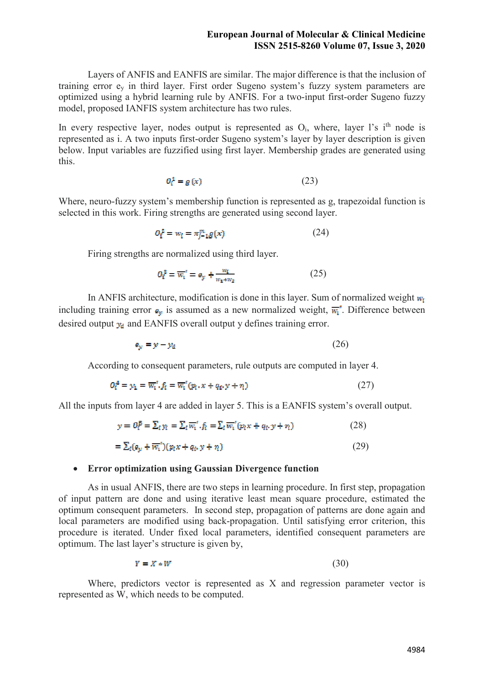Layers of ANFIS and EANFIS are similar. The major difference is that the inclusion of training error ey in third layer. First order Sugeno system's fuzzy system parameters are optimized using a hybrid learning rule by ANFIS. For a two-input first-order Sugeno fuzzy model, proposed IANFIS system architecture has two rules.

In every respective layer, nodes output is represented as  $O_i$ , where, layer l's i<sup>th</sup> node is represented as i. A two inputs first-order Sugeno system's layer by layer description is given below. Input variables are fuzzified using first layer. Membership grades are generated using this.

$$
Q_i^1 = g(x) \tag{23}
$$

Where, neuro-fuzzy system's membership function is represented as g, trapezoidal function is selected in this work. Firing strengths are generated using second layer.

$$
O_i^2 = w_i = \pi_{i-1}^m g(x) \tag{24}
$$

Firing strengths are normalized using third layer.

$$
O_i^3 = \overline{w_i}' = e_y + \frac{w_i}{w_1 + w_2} \tag{25}
$$

In ANFIS architecture, modification is done in this layer. Sum of normalized weight  $w_i$ including training error  $\epsilon_{\nu}$  is assumed as a new normalized weight,  $\overline{w_{i}}$ . Difference between desired output  $y_d$  and EANFIS overall output y defines training error.

$$
e_y = y - y_d \tag{26}
$$

According to consequent parameters, rule outputs are computed in layer 4.

$$
O_i^4 = y_1 = \overline{w_i}' \cdot f_i = \overline{w_i}' (p_i \cdot x + q_i \cdot y + r_i)
$$
 (27)

All the inputs from layer 4 are added in layer 5. This is a EANFIS system's overall output.

$$
y = O_i^5 = \sum_i y_i = \sum_i \overline{w_i}' \cdot f_i = \sum_i \overline{w_i}' (p_i x + q_i \cdot y + r_i)
$$
 (28)

$$
= \sum_{i} (e_{y} + \overline{w_{i}}')(p_{i}x + q_{i}y + r_{i})
$$
\n(29)

## **Error optimization using Gaussian Divergence function**

 As in usual ANFIS, there are two steps in learning procedure. In first step, propagation of input pattern are done and using iterative least mean square procedure, estimated the optimum consequent parameters. In second step, propagation of patterns are done again and local parameters are modified using back-propagation. Until satisfying error criterion, this procedure is iterated. Under fixed local parameters, identified consequent parameters are optimum. The last layer's structure is given by,

$$
Y = X * W \tag{30}
$$

 Where, predictors vector is represented as X and regression parameter vector is represented as W, which needs to be computed.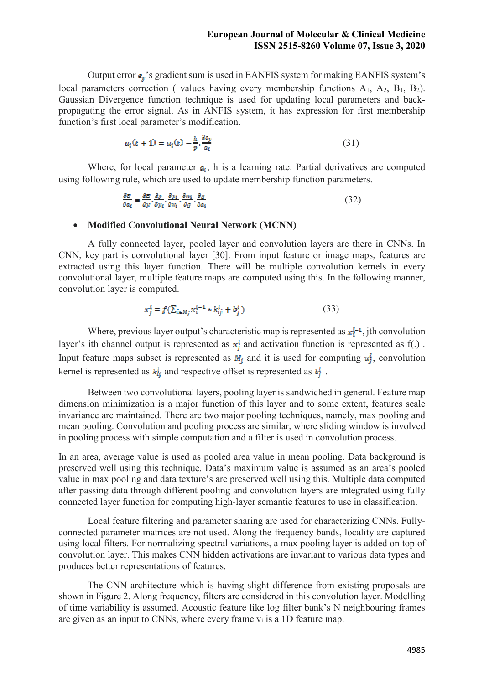Output error  $\epsilon_{\nu}$ 's gradient sum is used in EANFIS system for making EANFIS system's local parameters correction ( values having every membership functions  $A_1$ ,  $A_2$ ,  $B_1$ ,  $B_2$ ). Gaussian Divergence function technique is used for updating local parameters and backpropagating the error signal. As in ANFIS system, it has expression for first membership function's first local parameter's modification.

$$
a_i(t+1) = a_i(t) - \frac{h}{p} \cdot \frac{\partial e_y}{a_i} \tag{31}
$$

Where, for local parameter  $a_i$ , h is a learning rate. Partial derivatives are computed using following rule, which are used to update membership function parameters.

$$
\frac{\partial E}{\partial a_i} = \frac{\partial E}{\partial y} \cdot \frac{\partial y}{\partial y_i} \cdot \frac{\partial y_i}{\partial w_i} \cdot \frac{\partial w_i}{\partial a_i} \cdot \frac{\partial g}{\partial a_i}
$$
 (32)

#### **Modified Convolutional Neural Network (MCNN)**

 A fully connected layer, pooled layer and convolution layers are there in CNNs. In CNN, key part is convolutional layer [30]. From input feature or image maps, features are extracted using this layer function. There will be multiple convolution kernels in every convolutional layer, multiple feature maps are computed using this. In the following manner, convolution layer is computed.

$$
x_j^i = f(\sum_{i \in M_j} x_i^{i-1} * k_{ij}^i + b_j^i)
$$
 (33)

Where, previous layer output's characteristic map is represented as  $\mathbf{x}_i^{t-1}$ , jth convolution layer's ith channel output is represented as  $x_j^l$  and activation function is represented as f(.). Input feature maps subset is represented as  $M_j$  and it is used for computing  $u_j^i$ , convolution kernel is represented as  $k_{ij}^l$  and respective offset is represented as  $b_i^l$ .

 Between two convolutional layers, pooling layer is sandwiched in general. Feature map dimension minimization is a major function of this layer and to some extent, features scale invariance are maintained. There are two major pooling techniques, namely, max pooling and mean pooling. Convolution and pooling process are similar, where sliding window is involved in pooling process with simple computation and a filter is used in convolution process.

In an area, average value is used as pooled area value in mean pooling. Data background is preserved well using this technique. Data's maximum value is assumed as an area's pooled value in max pooling and data texture's are preserved well using this. Multiple data computed after passing data through different pooling and convolution layers are integrated using fully connected layer function for computing high-layer semantic features to use in classification.

 Local feature filtering and parameter sharing are used for characterizing CNNs. Fullyconnected parameter matrices are not used. Along the frequency bands, locality are captured using local filters. For normalizing spectral variations, a max pooling layer is added on top of convolution layer. This makes CNN hidden activations are invariant to various data types and produces better representations of features.

 The CNN architecture which is having slight difference from existing proposals are shown in Figure 2. Along frequency, filters are considered in this convolution layer. Modelling of time variability is assumed. Acoustic feature like log filter bank's N neighbouring frames are given as an input to CNNs, where every frame  $v_i$  is a 1D feature map.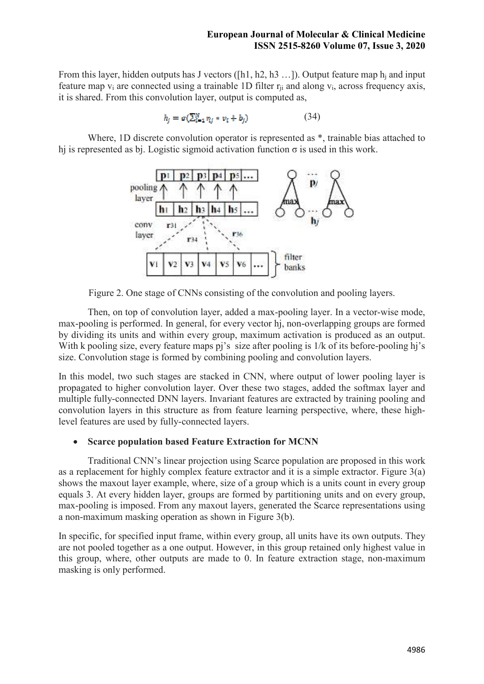From this layer, hidden outputs has J vectors ( $[h1, h2, h3$  ...)). Output feature map  $h_i$  and input feature map  $v_i$  are connected using a trainable 1D filter  $r_{ii}$  and along  $v_i$ , across frequency axis, it is shared. From this convolution layer, output is computed as,

$$
h_i = \sigma(\sum_{i=1}^{N} \eta_i * \nu_i + b_i)
$$
 (34)

Where, 1D discrete convolution operator is represented as  $*$ , trainable bias attached to hj is represented as bj. Logistic sigmoid activation function  $\sigma$  is used in this work.



Figure 2. One stage of CNNs consisting of the convolution and pooling layers.

 Then, on top of convolution layer, added a max-pooling layer. In a vector-wise mode, max-pooling is performed. In general, for every vector hj, non-overlapping groups are formed by dividing its units and within every group, maximum activation is produced as an output. With k pooling size, every feature maps pj's size after pooling is  $1/k$  of its before-pooling hj's size. Convolution stage is formed by combining pooling and convolution layers.

In this model, two such stages are stacked in CNN, where output of lower pooling layer is propagated to higher convolution layer. Over these two stages, added the softmax layer and multiple fully-connected DNN layers. Invariant features are extracted by training pooling and convolution layers in this structure as from feature learning perspective, where, these highlevel features are used by fully-connected layers.

# **Scarce population based Feature Extraction for MCNN**

 Traditional CNN's linear projection using Scarce population are proposed in this work as a replacement for highly complex feature extractor and it is a simple extractor. Figure 3(a) shows the maxout layer example, where, size of a group which is a units count in every group equals 3. At every hidden layer, groups are formed by partitioning units and on every group, max-pooling is imposed. From any maxout layers, generated the Scarce representations using a non-maximum masking operation as shown in Figure 3(b).

In specific, for specified input frame, within every group, all units have its own outputs. They are not pooled together as a one output. However, in this group retained only highest value in this group, where, other outputs are made to 0. In feature extraction stage, non-maximum masking is only performed.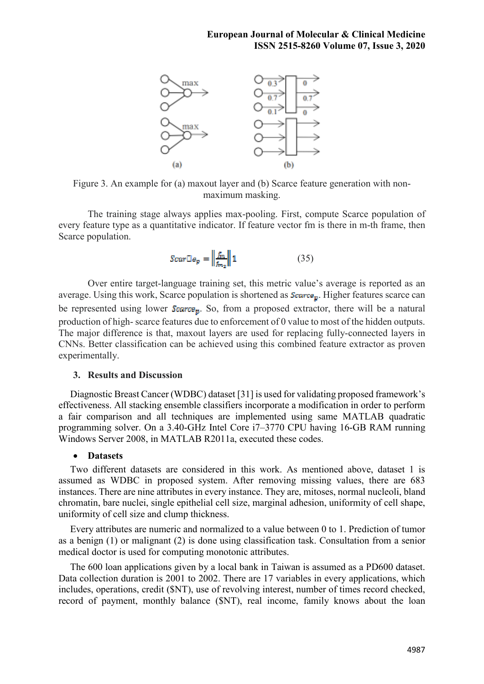

Figure 3. An example for (a) maxout layer and (b) Scarce feature generation with nonmaximum masking.

 The training stage always applies max-pooling. First, compute Scarce population of every feature type as a quantitative indicator. If feature vector fm is there in m-th frame, then Scarce population.

$$
Scar \mathbb{E} \mathbf{e}_p = \left\| \frac{f_m}{f_{m_2}} \right\| \mathbf{1} \tag{35}
$$

 Over entire target-language training set, this metric value's average is reported as an average. Using this work, Scarce population is shortened as  $\mathcal{S}c\mathbf{arce}_{p}$ . Higher features scarce can be represented using lower  $S_{\text{Gave},B}$ . So, from a proposed extractor, there will be a natural production of high- scarce features due to enforcement of 0 value to most of the hidden outputs. The major difference is that, maxout layers are used for replacing fully-connected layers in CNNs. Better classification can be achieved using this combined feature extractor as proven experimentally.

#### **3. Results and Discussion**

Diagnostic Breast Cancer (WDBC) dataset [31] is used for validating proposed framework's effectiveness. All stacking ensemble classifiers incorporate a modification in order to perform a fair comparison and all techniques are implemented using same MATLAB quadratic programming solver. On a 3.40-GHz Intel Core i7–3770 CPU having 16-GB RAM running Windows Server 2008, in MATLAB R2011a, executed these codes.

#### **Datasets**

Two different datasets are considered in this work. As mentioned above, dataset 1 is assumed as WDBC in proposed system. After removing missing values, there are 683 instances. There are nine attributes in every instance. They are, mitoses, normal nucleoli, bland chromatin, bare nuclei, single epithelial cell size, marginal adhesion, uniformity of cell shape, uniformity of cell size and clump thickness.

Every attributes are numeric and normalized to a value between 0 to 1. Prediction of tumor as a benign (1) or malignant (2) is done using classification task. Consultation from a senior medical doctor is used for computing monotonic attributes.

The 600 loan applications given by a local bank in Taiwan is assumed as a PD600 dataset. Data collection duration is 2001 to 2002. There are 17 variables in every applications, which includes, operations, credit (\$NT), use of revolving interest, number of times record checked, record of payment, monthly balance (\$NT), real income, family knows about the loan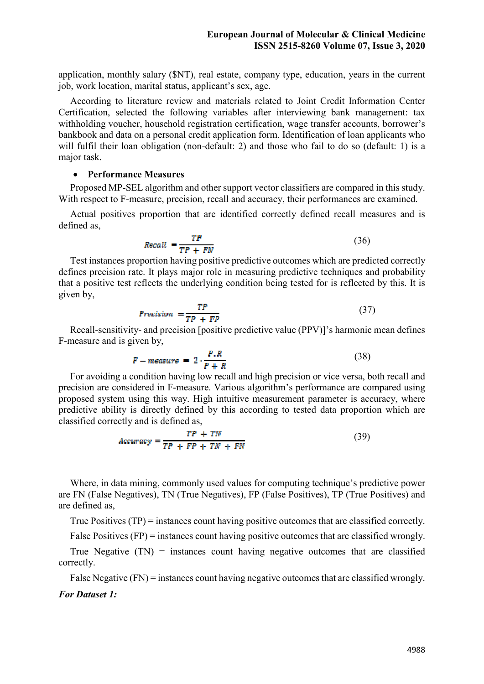application, monthly salary (\$NT), real estate, company type, education, years in the current job, work location, marital status, applicant's sex, age.

According to literature review and materials related to Joint Credit Information Center Certification, selected the following variables after interviewing bank management: tax withholding voucher, household registration certification, wage transfer accounts, borrower's bankbook and data on a personal credit application form. Identification of loan applicants who will fulfil their loan obligation (non-default: 2) and those who fail to do so (default: 1) is a major task.

# **Performance Measures**

Proposed MP-SEL algorithm and other support vector classifiers are compared in this study. With respect to F-measure, precision, recall and accuracy, their performances are examined.

Actual positives proportion that are identified correctly defined recall measures and is defined as,

$$
Recall = \frac{TP}{TP + FN}
$$
 (36)

Test instances proportion having positive predictive outcomes which are predicted correctly defines precision rate. It plays major role in measuring predictive techniques and probability that a positive test reflects the underlying condition being tested for is reflected by this. It is given by,

$$
Precision = \frac{TP}{TP + FP}
$$
 (37)

Recall-sensitivity- and precision [positive predictive value (PPV)]'s harmonic mean defines F-measure and is given by,

$$
F - measure = 2 \cdot \frac{P.R}{P + R} \tag{38}
$$

For avoiding a condition having low recall and high precision or vice versa, both recall and precision are considered in F-measure. Various algorithm's performance are compared using proposed system using this way. High intuitive measurement parameter is accuracy, where predictive ability is directly defined by this according to tested data proportion which are classified correctly and is defined as,

$$
Accuracy = \frac{TP + TN}{TP + FP + TN + FN}
$$
 (39)

Where, in data mining, commonly used values for computing technique's predictive power are FN (False Negatives), TN (True Negatives), FP (False Positives), TP (True Positives) and are defined as,

True Positives (TP) = instances count having positive outcomes that are classified correctly.

False Positives (FP) = instances count having positive outcomes that are classified wrongly.

True Negative  $(TN)$  = instances count having negative outcomes that are classified correctly.

False Negative (FN) = instances count having negative outcomes that are classified wrongly.

#### *For Dataset 1:*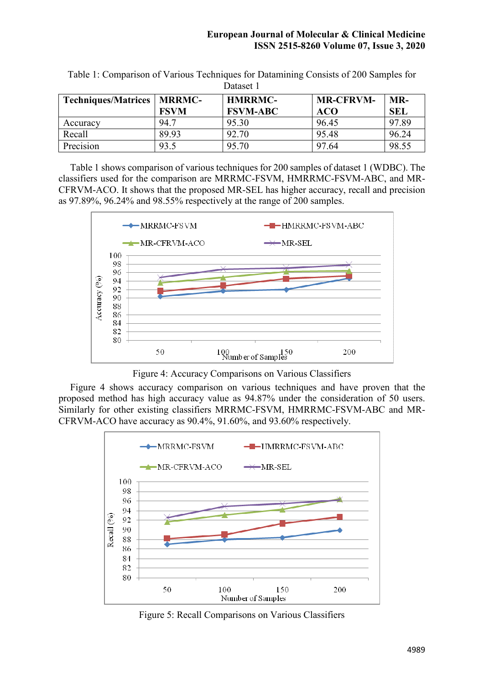| Dalaste i                           |             |                 |                  |            |  |  |  |
|-------------------------------------|-------------|-----------------|------------------|------------|--|--|--|
| <b>Techniques/Matrices   MRRMC-</b> |             | <b>HMRRMC-</b>  | <b>MR-CFRVM-</b> | MR-        |  |  |  |
|                                     | <b>FSVM</b> | <b>FSVM-ABC</b> | <b>ACO</b>       | <b>SEL</b> |  |  |  |
| Accuracy                            | 94.7        | 95.30           | 96.45            | 97.89      |  |  |  |
| Recall                              | 89.93       | 92.70           | 95.48            | 96.24      |  |  |  |
| Precision                           | 93.5        | 95.70           | 97.64            | 98.55      |  |  |  |

Table 1: Comparison of Various Techniques for Datamining Consists of 200 Samples for Dataset 1

Table 1 shows comparison of various techniques for 200 samples of dataset 1 (WDBC). The classifiers used for the comparison are MRRMC-FSVM, HMRRMC-FSVM-ABC, and MR-CFRVM-ACO. It shows that the proposed MR-SEL has higher accuracy, recall and precision as 97.89%, 96.24% and 98.55% respectively at the range of 200 samples.



Figure 4: Accuracy Comparisons on Various Classifiers

Figure 4 shows accuracy comparison on various techniques and have proven that the proposed method has high accuracy value as 94.87% under the consideration of 50 users. Similarly for other existing classifiers MRRMC-FSVM, HMRRMC-FSVM-ABC and MR-CFRVM-ACO have accuracy as 90.4%, 91.60%, and 93.60% respectively.



Figure 5: Recall Comparisons on Various Classifiers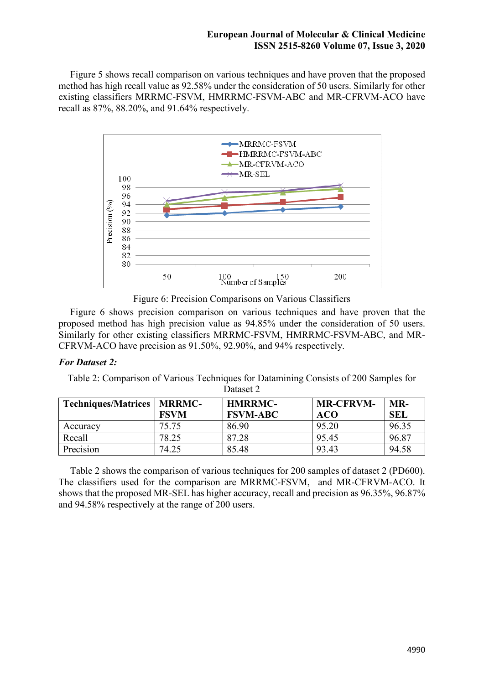Figure 5 shows recall comparison on various techniques and have proven that the proposed method has high recall value as 92.58% under the consideration of 50 users. Similarly for other existing classifiers MRRMC-FSVM, HMRRMC-FSVM-ABC and MR-CFRVM-ACO have recall as 87%, 88.20%, and 91.64% respectively.



Figure 6: Precision Comparisons on Various Classifiers

Figure 6 shows precision comparison on various techniques and have proven that the proposed method has high precision value as 94.85% under the consideration of 50 users. Similarly for other existing classifiers MRRMC-FSVM, HMRRMC-FSVM-ABC, and MR-CFRVM-ACO have precision as 91.50%, 92.90%, and 94% respectively.

# *For Dataset 2:*

Table 2: Comparison of Various Techniques for Datamining Consists of 200 Samples for Dataset 2

| <b>Techniques/Matrices</b> | <b>MRRMC-</b> | <b>HMRRMC-</b>  | <b>MR-CFRVM-</b> | MR-        |
|----------------------------|---------------|-----------------|------------------|------------|
|                            | <b>FSVM</b>   | <b>FSVM-ABC</b> | ACO              | <b>SEL</b> |
| Accuracy                   | 75.75         | 86.90           | 95.20            | 96.35      |
| Recall                     | 78.25         | 87.28           | 95.45            | 96.87      |
| Precision                  | 74.25         | 85.48           | 93.43            | 94.58      |

Table 2 shows the comparison of various techniques for 200 samples of dataset 2 (PD600). The classifiers used for the comparison are MRRMC-FSVM, and MR-CFRVM-ACO. It shows that the proposed MR-SEL has higher accuracy, recall and precision as 96.35%, 96.87% and 94.58% respectively at the range of 200 users.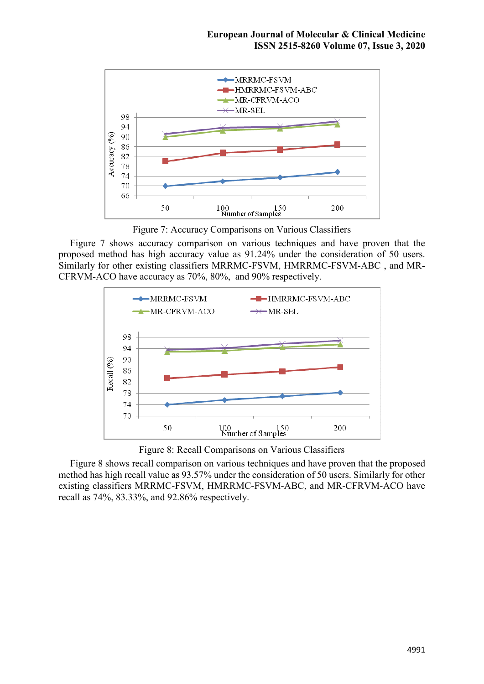

Figure 7: Accuracy Comparisons on Various Classifiers

Figure 7 shows accuracy comparison on various techniques and have proven that the proposed method has high accuracy value as 91.24% under the consideration of 50 users. Similarly for other existing classifiers MRRMC-FSVM, HMRRMC-FSVM-ABC , and MR-CFRVM-ACO have accuracy as 70%, 80%, and 90% respectively.



Figure 8: Recall Comparisons on Various Classifiers

Figure 8 shows recall comparison on various techniques and have proven that the proposed method has high recall value as 93.57% under the consideration of 50 users. Similarly for other existing classifiers MRRMC-FSVM, HMRRMC-FSVM-ABC, and MR-CFRVM-ACO have recall as 74%, 83.33%, and 92.86% respectively.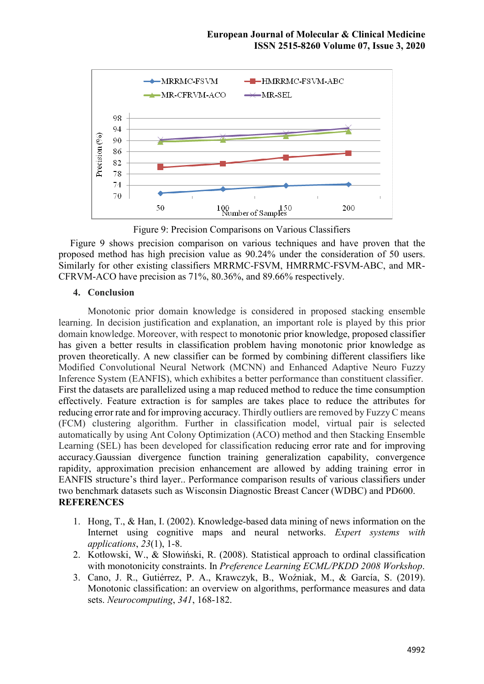

Figure 9: Precision Comparisons on Various Classifiers

Figure 9 shows precision comparison on various techniques and have proven that the proposed method has high precision value as 90.24% under the consideration of 50 users. Similarly for other existing classifiers MRRMC-FSVM, HMRRMC-FSVM-ABC, and MR-CFRVM-ACO have precision as 71%, 80.36%, and 89.66% respectively.

## **4. Conclusion**

Monotonic prior domain knowledge is considered in proposed stacking ensemble learning. In decision justification and explanation, an important role is played by this prior domain knowledge. Moreover, with respect to monotonic prior knowledge, proposed classifier has given a better results in classification problem having monotonic prior knowledge as proven theoretically. A new classifier can be formed by combining different classifiers like Modified Convolutional Neural Network (MCNN) and Enhanced Adaptive Neuro Fuzzy Inference System (EANFIS), which exhibites a better performance than constituent classifier. First the datasets are parallelized using a map reduced method to reduce the time consumption effectively. Feature extraction is for samples are takes place to reduce the attributes for reducing error rate and for improving accuracy. Thirdly outliers are removed by Fuzzy C means (FCM) clustering algorithm. Further in classification model, virtual pair is selected automatically by using Ant Colony Optimization (ACO) method and then Stacking Ensemble Learning (SEL) has been developed for classification reducing error rate and for improving accuracy.Gaussian divergence function training generalization capability, convergence rapidity, approximation precision enhancement are allowed by adding training error in EANFIS structure's third layer.. Performance comparison results of various classifiers under two benchmark datasets such as Wisconsin Diagnostic Breast Cancer (WDBC) and PD600. **REFERENCES** 

- 1. Hong, T., & Han, I. (2002). Knowledge-based data mining of news information on the Internet using cognitive maps and neural networks. *Expert systems with applications*, *23*(1), 1-8.
- 2. Kotłowski, W., & Słowiński, R. (2008). Statistical approach to ordinal classification with monotonicity constraints. In *Preference Learning ECML/PKDD 2008 Workshop*.
- 3. Cano, J. R., Gutiérrez, P. A., Krawczyk, B., Woźniak, M., & García, S. (2019). Monotonic classification: an overview on algorithms, performance measures and data sets. *Neurocomputing*, *341*, 168-182.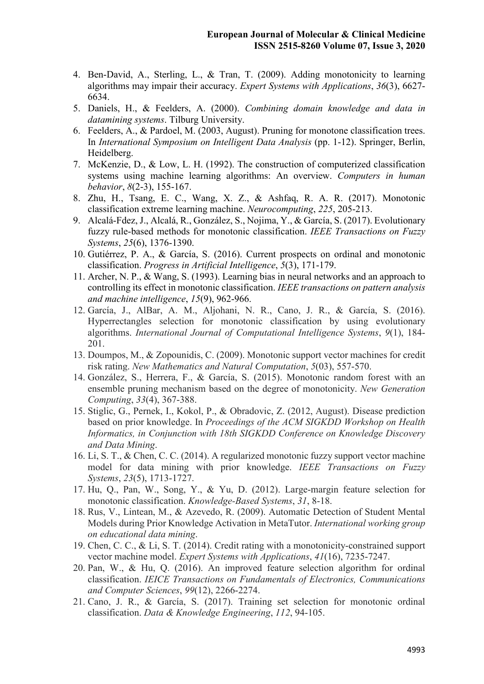- 4. Ben-David, A., Sterling, L., & Tran, T. (2009). Adding monotonicity to learning algorithms may impair their accuracy. *Expert Systems with Applications*, *36*(3), 6627- 6634.
- 5. Daniels, H., & Feelders, A. (2000). *Combining domain knowledge and data in datamining systems*. Tilburg University.
- 6. Feelders, A., & Pardoel, M. (2003, August). Pruning for monotone classification trees. In *International Symposium on Intelligent Data Analysis* (pp. 1-12). Springer, Berlin, Heidelberg.
- 7. McKenzie, D., & Low, L. H. (1992). The construction of computerized classification systems using machine learning algorithms: An overview. *Computers in human behavior*, *8*(2-3), 155-167.
- 8. Zhu, H., Tsang, E. C., Wang, X. Z., & Ashfaq, R. A. R. (2017). Monotonic classification extreme learning machine. *Neurocomputing*, *225*, 205-213.
- 9. Alcalá-Fdez, J., Alcalá, R., González, S., Nojima, Y., & García, S. (2017). Evolutionary fuzzy rule-based methods for monotonic classification. *IEEE Transactions on Fuzzy Systems*, *25*(6), 1376-1390.
- 10. Gutiérrez, P. A., & García, S. (2016). Current prospects on ordinal and monotonic classification. *Progress in Artificial Intelligence*, *5*(3), 171-179.
- 11. Archer, N. P., & Wang, S. (1993). Learning bias in neural networks and an approach to controlling its effect in monotonic classification. *IEEE transactions on pattern analysis and machine intelligence*, *15*(9), 962-966.
- 12. García, J., AlBar, A. M., Aljohani, N. R., Cano, J. R., & García, S. (2016). Hyperrectangles selection for monotonic classification by using evolutionary algorithms. *International Journal of Computational Intelligence Systems*, *9*(1), 184- 201.
- 13. Doumpos, M., & Zopounidis, C. (2009). Monotonic support vector machines for credit risk rating. *New Mathematics and Natural Computation*, *5*(03), 557-570.
- 14. González, S., Herrera, F., & García, S. (2015). Monotonic random forest with an ensemble pruning mechanism based on the degree of monotonicity. *New Generation Computing*, *33*(4), 367-388.
- 15. Stiglic, G., Pernek, I., Kokol, P., & Obradovic, Z. (2012, August). Disease prediction based on prior knowledge. In *Proceedings of the ACM SIGKDD Workshop on Health Informatics, in Conjunction with 18th SIGKDD Conference on Knowledge Discovery and Data Mining*.
- 16. Li, S. T., & Chen, C. C. (2014). A regularized monotonic fuzzy support vector machine model for data mining with prior knowledge. *IEEE Transactions on Fuzzy Systems*, *23*(5), 1713-1727.
- 17. Hu, Q., Pan, W., Song, Y., & Yu, D. (2012). Large-margin feature selection for monotonic classification. *Knowledge-Based Systems*, *31*, 8-18.
- 18. Rus, V., Lintean, M., & Azevedo, R. (2009). Automatic Detection of Student Mental Models during Prior Knowledge Activation in MetaTutor. *International working group on educational data mining*.
- 19. Chen, C. C., & Li, S. T. (2014). Credit rating with a monotonicity-constrained support vector machine model. *Expert Systems with Applications*, *41*(16), 7235-7247.
- 20. Pan, W., & Hu, Q. (2016). An improved feature selection algorithm for ordinal classification. *IEICE Transactions on Fundamentals of Electronics, Communications and Computer Sciences*, *99*(12), 2266-2274.
- 21. Cano, J. R., & García, S. (2017). Training set selection for monotonic ordinal classification. *Data & Knowledge Engineering*, *112*, 94-105.